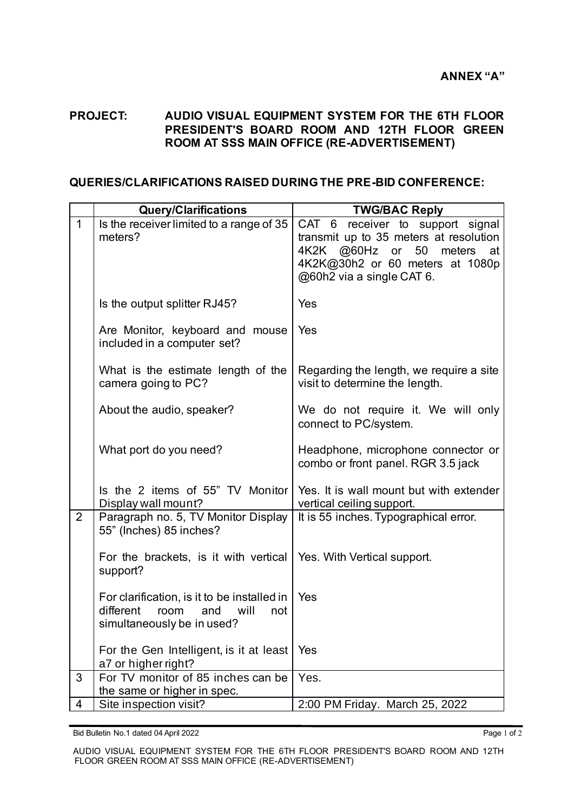## **PROJECT: AUDIO VISUAL EQUIPMENT SYSTEM FOR THE 6TH FLOOR PRESIDENT'S BOARD ROOM AND 12TH FLOOR GREEN ROOM AT SSS MAIN OFFICE (RE-ADVERTISEMENT)**

## **QUERIES/CLARIFICATIONS RAISED DURING THE PRE-BID CONFERENCE:**

|                | <b>Query/Clarifications</b>                                                                                          | <b>TWG/BAC Reply</b>                                                                                                                                                                            |
|----------------|----------------------------------------------------------------------------------------------------------------------|-------------------------------------------------------------------------------------------------------------------------------------------------------------------------------------------------|
| $\mathbf{1}$   | Is the receiver limited to a range of 35<br>meters?                                                                  | CAT <sub>6</sub><br>receiver to support signal<br>transmit up to 35 meters at resolution<br>50<br>4K2K @60Hz or<br>meters<br>at<br>4K2K@30h2 or 60 meters at 1080p<br>@60h2 via a single CAT 6. |
|                | Is the output splitter RJ45?                                                                                         | Yes                                                                                                                                                                                             |
|                | Are Monitor, keyboard and mouse<br>included in a computer set?                                                       | Yes                                                                                                                                                                                             |
|                | What is the estimate length of the<br>camera going to PC?                                                            | Regarding the length, we require a site<br>visit to determine the length.                                                                                                                       |
|                | About the audio, speaker?                                                                                            | We do not require it. We will only<br>connect to PC/system.                                                                                                                                     |
|                | What port do you need?                                                                                               | Headphone, microphone connector or<br>combo or front panel. RGR 3.5 jack                                                                                                                        |
|                | Is the 2 items of 55" TV Monitor<br>Display wall mount?                                                              | Yes. It is wall mount but with extender<br>vertical ceiling support.                                                                                                                            |
| $\overline{2}$ | Paragraph no. 5, TV Monitor Display<br>55" (Inches) 85 inches?                                                       | It is 55 inches. Typographical error.                                                                                                                                                           |
|                | For the brackets, is it with vertical<br>support?                                                                    | Yes. With Vertical support.                                                                                                                                                                     |
|                | For clarification, is it to be installed in<br>different<br>room<br>will<br>and<br>not<br>simultaneously be in used? | Yes                                                                                                                                                                                             |
|                | For the Gen Intelligent, is it at least<br>a7 or higher right?                                                       | Yes                                                                                                                                                                                             |
| 3              | For TV monitor of 85 inches can be<br>the same or higher in spec.                                                    | Yes.                                                                                                                                                                                            |
| 4              | Site inspection visit?                                                                                               | 2:00 PM Friday. March 25, 2022                                                                                                                                                                  |

Bid Bulletin No.1 dated 04 April 2022 **Page 1 of 2 Page 1 of 2 Page 1 of 2** 

AUDIO VISUAL EQUIPMENT SYSTEM FOR THE 6TH FLOOR PRESIDENT'S BOARD ROOM AND 12TH FLOOR GREEN ROOM AT SSS MAIN OFFICE (RE-ADVERTISEMENT)